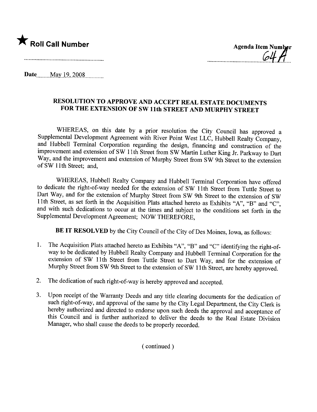

-......-.. ..-...... ........ --~4-t!\_\_.

Date \_\_\_\_ May 19, 2008

## RESOLUTION TO APPROVE AND ACCEPT REAL ESTATE DOCUMENTS FOR THE EXTENSION OF SW 11th STREET AND MURPHY STREET

WHEREAS, on this date by a prior resolution the City Council has approved a Supplemental Development Agreement with River Point West LLC, Hubbell Realty Company, and Hubbell Terminal Corporation regarding the design, financing and construction of the improvement and extension of SW 11 th Street from SW Martin Luther King Jr. Parkway to Dart Way, and the improvement and extension of Murphy Street from SW 9th Street to the extension ofSW 11th Street; and,

WHEREAS, Hubbell Realty Company and Hubbell Terminal Corporation have offered to dedicate the right-of-way needed for the extension of SW 11th Street from Tuttle Street to Dart Way, and for the extension of Murphy Street from SW 9th Street to the extension of SW 11 th Street, as set forth in the Acquisition Plats attached hereto as Exhibits "A", "B" and "C", and with such dedications to occur at the times and subject to the conditions set forth in the Supplemental Development Agreement; NOW THEREFORE,

BE IT RESOLVED by the City Council of the City of Des Moines, Iowa, as follows:

- 1. The Acquisition Plats attached hereto as Exhibits "A", "B" and "C" identifying the right-ofway to be dedicated by Hubbell Realty Company and Hubbell Terminal Corporation for the extension of SW 11th Street from Tuttle Street to Dart Way, and for the extension of Murphy Street from SW 9th Street to the extension of SW 11th Street, are hereby approved.
- 2. The dedication of such right-of-way is hereby approved and accepted.
- 3. Upon receipt of the Waranty Deeds and any title clearing documents for the dedication of such right-of-way, and approval of the same by the City Legal Deparment, the City Clerk is hereby authorized and directed to endorse upon such deeds the approval and acceptance of this Council and is further authorized to deliver the deeds to the Real Estate Division Manager, who shall cause the deeds to be properly recorded.

( continued)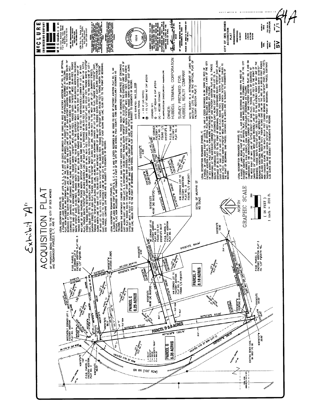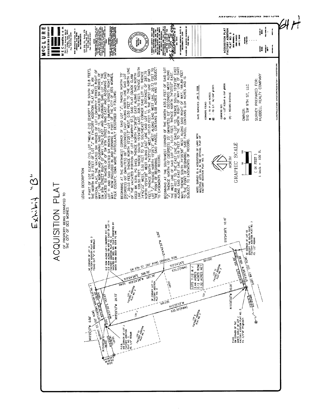